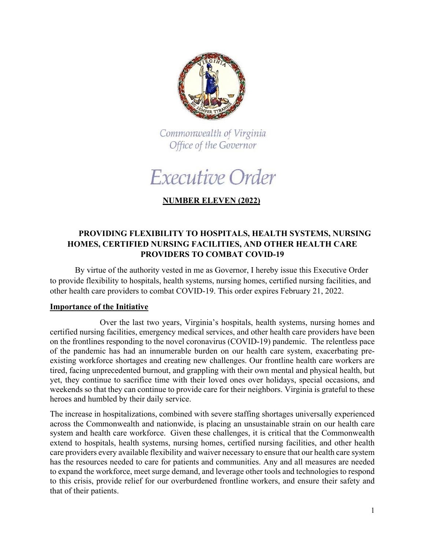

Commonwealth of Virginia Office of the Governor

Executive Order

# **NUMBER ELEVEN (2022)**

## **PROVIDING FLEXIBILITY TO HOSPITALS, HEALTH SYSTEMS, NURSING HOMES, CERTIFIED NURSING FACILITIES, AND OTHER HEALTH CARE PROVIDERS TO COMBAT COVID-19**

By virtue of the authority vested in me as Governor, I hereby issue this Executive Order to provide flexibility to hospitals, health systems, nursing homes, certified nursing facilities, and other health care providers to combat COVID-19. This order expires February 21, 2022.

### **Importance of the Initiative**

Over the last two years, Virginia's hospitals, health systems, nursing homes and certified nursing facilities, emergency medical services, and other health care providers have been on the frontlines responding to the novel coronavirus (COVID-19) pandemic. The relentless pace of the pandemic has had an innumerable burden on our health care system, exacerbating preexisting workforce shortages and creating new challenges. Our frontline health care workers are tired, facing unprecedented burnout, and grappling with their own mental and physical health, but yet, they continue to sacrifice time with their loved ones over holidays, special occasions, and weekends so that they can continue to provide care for their neighbors. Virginia is grateful to these heroes and humbled by their daily service.

The increase in hospitalizations, combined with severe staffing shortages universally experienced across the Commonwealth and nationwide, is placing an unsustainable strain on our health care system and health care workforce. Given these challenges, it is critical that the Commonwealth extend to hospitals, health systems, nursing homes, certified nursing facilities, and other health care providers every available flexibility and waiver necessary to ensure that our health care system has the resources needed to care for patients and communities. Any and all measures are needed to expand the workforce, meet surge demand, and leverage other tools and technologies to respond to this crisis, provide relief for our overburdened frontline workers, and ensure their safety and that of their patients.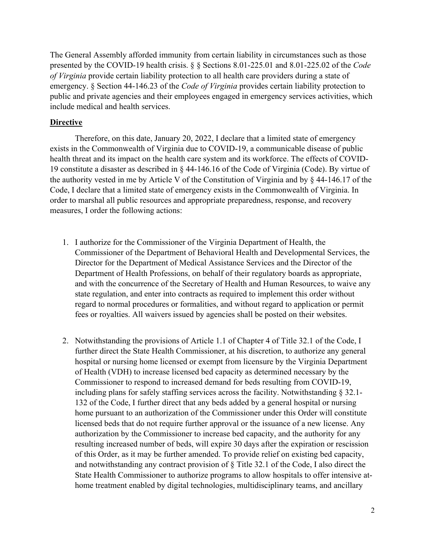The General Assembly afforded immunity from certain liability in circumstances such as those presented by the COVID-19 health crisis. § § Sections 8.01-225.01 and 8.01-225.02 of the *Code of Virginia* provide certain liability protection to all health care providers during a state of emergency. § Section 44-146.23 of the *Code of Virginia* provides certain liability protection to public and private agencies and their employees engaged in emergency services activities, which include medical and health services.

#### **Directive**

Therefore, on this date, January 20, 2022, I declare that a limited state of emergency exists in the Commonwealth of Virginia due to COVID-19, a communicable disease of public health threat and its impact on the health care system and its workforce. The effects of COVID-19 constitute a disaster as described in § 44-146.16 of the Code of Virginia (Code). By virtue of the authority vested in me by Article V of the Constitution of Virginia and by § 44-146.17 of the Code, I declare that a limited state of emergency exists in the Commonwealth of Virginia. In order to marshal all public resources and appropriate preparedness, response, and recovery measures, I order the following actions:

- 1. I authorize for the Commissioner of the Virginia Department of Health, the Commissioner of the Department of Behavioral Health and Developmental Services, the Director for the Department of Medical Assistance Services and the Director of the Department of Health Professions, on behalf of their regulatory boards as appropriate, and with the concurrence of the Secretary of Health and Human Resources, to waive any state regulation, and enter into contracts as required to implement this order without regard to normal procedures or formalities, and without regard to application or permit fees or royalties. All waivers issued by agencies shall be posted on their websites.
- 2. Notwithstanding the provisions of Article 1.1 of Chapter 4 of Title 32.1 of the Code, I further direct the State Health Commissioner, at his discretion, to authorize any general hospital or nursing home licensed or exempt from licensure by the Virginia Department of Health (VDH) to increase licensed bed capacity as determined necessary by the Commissioner to respond to increased demand for beds resulting from COVID-19, including plans for safely staffing services across the facility. Notwithstanding § 32.1- 132 of the Code, I further direct that any beds added by a general hospital or nursing home pursuant to an authorization of the Commissioner under this Order will constitute licensed beds that do not require further approval or the issuance of a new license. Any authorization by the Commissioner to increase bed capacity, and the authority for any resulting increased number of beds, will expire 30 days after the expiration or rescission of this Order, as it may be further amended. To provide relief on existing bed capacity, and notwithstanding any contract provision of § Title 32.1 of the Code, I also direct the State Health Commissioner to authorize programs to allow hospitals to offer intensive athome treatment enabled by digital technologies, multidisciplinary teams, and ancillary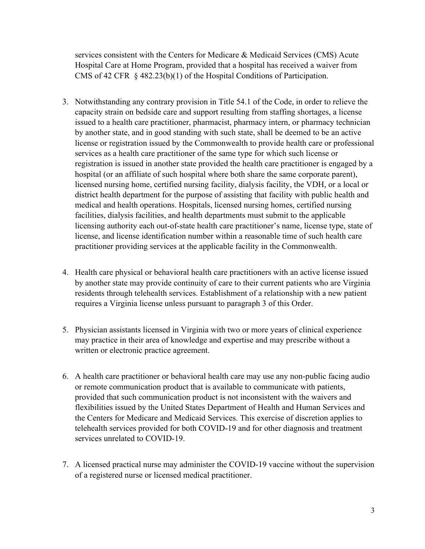services consistent with the Centers for Medicare & Medicaid Services (CMS) Acute Hospital Care at Home Program, provided that a hospital has received a waiver from CMS of 42 CFR § 482.23(b)(1) of the Hospital Conditions of Participation.

- 3. Notwithstanding any contrary provision in Title 54.1 of the Code, in order to relieve the capacity strain on bedside care and support resulting from staffing shortages, a license issued to a health care practitioner, pharmacist, pharmacy intern, or pharmacy technician by another state, and in good standing with such state, shall be deemed to be an active license or registration issued by the Commonwealth to provide health care or professional services as a health care practitioner of the same type for which such license or registration is issued in another state provided the health care practitioner is engaged by a hospital (or an affiliate of such hospital where both share the same corporate parent), licensed nursing home, certified nursing facility, dialysis facility, the VDH, or a local or district health department for the purpose of assisting that facility with public health and medical and health operations. Hospitals, licensed nursing homes, certified nursing facilities, dialysis facilities, and health departments must submit to the applicable licensing authority each out-of-state health care practitioner's name, license type, state of license, and license identification number within a reasonable time of such health care practitioner providing services at the applicable facility in the Commonwealth.
- 4. Health care physical or behavioral health care practitioners with an active license issued by another state may provide continuity of care to their current patients who are Virginia residents through telehealth services. Establishment of a relationship with a new patient requires a Virginia license unless pursuant to paragraph 3 of this Order.
- 5. Physician assistants licensed in Virginia with two or more years of clinical experience may practice in their area of knowledge and expertise and may prescribe without a written or electronic practice agreement.
- 6. A health care practitioner or behavioral health care may use any non-public facing audio or remote communication product that is available to communicate with patients, provided that such communication product is not inconsistent with the waivers and flexibilities issued by the United States Department of Health and Human Services and the Centers for Medicare and Medicaid Services. This exercise of discretion applies to telehealth services provided for both COVID-19 and for other diagnosis and treatment services unrelated to COVID-19.
- 7. A licensed practical nurse may administer the COVID-19 vaccine without the supervision of a registered nurse or licensed medical practitioner.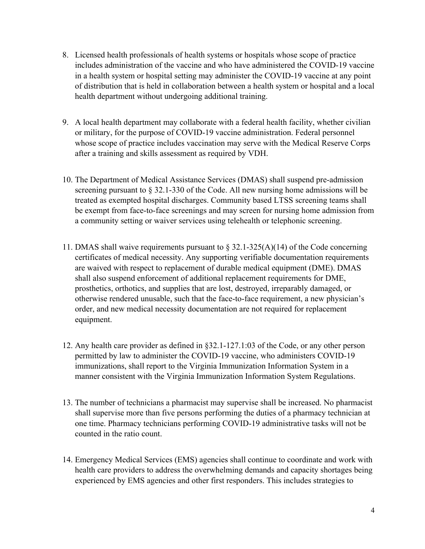- 8. Licensed health professionals of health systems or hospitals whose scope of practice includes administration of the vaccine and who have administered the COVID-19 vaccine in a health system or hospital setting may administer the COVID-19 vaccine at any point of distribution that is held in collaboration between a health system or hospital and a local health department without undergoing additional training.
- 9. A local health department may collaborate with a federal health facility, whether civilian or military, for the purpose of COVID-19 vaccine administration. Federal personnel whose scope of practice includes vaccination may serve with the Medical Reserve Corps after a training and skills assessment as required by VDH.
- 10. The Department of Medical Assistance Services (DMAS) shall suspend pre-admission screening pursuant to § 32.1-330 of the Code. All new nursing home admissions will be treated as exempted hospital discharges. Community based LTSS screening teams shall be exempt from face-to-face screenings and may screen for nursing home admission from a community setting or waiver services using telehealth or telephonic screening.
- 11. DMAS shall waive requirements pursuant to  $\S 32.1-325(A)(14)$  of the Code concerning certificates of medical necessity. Any supporting verifiable documentation requirements are waived with respect to replacement of durable medical equipment (DME). DMAS shall also suspend enforcement of additional replacement requirements for DME, prosthetics, orthotics, and supplies that are lost, destroyed, irreparably damaged, or otherwise rendered unusable, such that the face-to-face requirement, a new physician's order, and new medical necessity documentation are not required for replacement equipment.
- 12. Any health care provider as defined in §32.1-127.1:03 of the Code, or any other person permitted by law to administer the COVID-19 vaccine, who administers COVID-19 immunizations, shall report to the Virginia Immunization Information System in a manner consistent with the Virginia Immunization Information System Regulations.
- 13. The number of technicians a pharmacist may supervise shall be increased. No pharmacist shall supervise more than five persons performing the duties of a pharmacy technician at one time. Pharmacy technicians performing COVID-19 administrative tasks will not be counted in the ratio count.
- 14. Emergency Medical Services (EMS) agencies shall continue to coordinate and work with health care providers to address the overwhelming demands and capacity shortages being experienced by EMS agencies and other first responders. This includes strategies to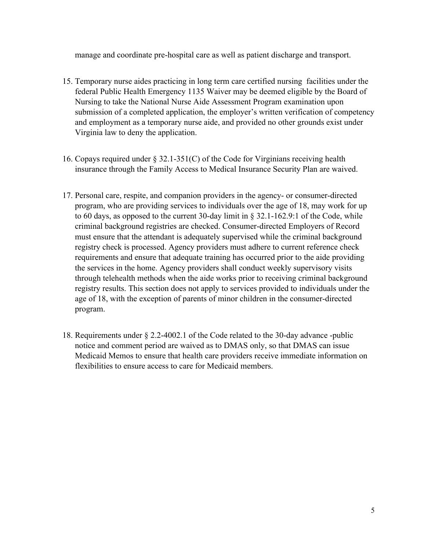manage and coordinate pre-hospital care as well as patient discharge and transport.

- 15. Temporary nurse aides practicing in long term care certified nursing facilities under the federal Public Health Emergency 1135 Waiver may be deemed eligible by the Board of Nursing to take the National Nurse Aide Assessment Program examination upon submission of a completed application, the employer's written verification of competency and employment as a temporary nurse aide, and provided no other grounds exist under Virginia law to deny the application.
- 16. Copays required under § 32.1-351(C) of the Code for Virginians receiving health insurance through the Family Access to Medical Insurance Security Plan are waived.
- 17. Personal care, respite, and companion providers in the agency- or consumer-directed program, who are providing services to individuals over the age of 18, may work for up to 60 days, as opposed to the current 30-day limit in § 32.1-162.9:1 of the Code, while criminal background registries are checked. Consumer-directed Employers of Record must ensure that the attendant is adequately supervised while the criminal background registry check is processed. Agency providers must adhere to current reference check requirements and ensure that adequate training has occurred prior to the aide providing the services in the home. Agency providers shall conduct weekly supervisory visits through telehealth methods when the aide works prior to receiving criminal background registry results. This section does not apply to services provided to individuals under the age of 18, with the exception of parents of minor children in the consumer-directed program.
- 18. Requirements under § 2.2-4002.1 of the Code related to the 30-day advance -public notice and comment period are waived as to DMAS only, so that DMAS can issue Medicaid Memos to ensure that health care providers receive immediate information on flexibilities to ensure access to care for Medicaid members.